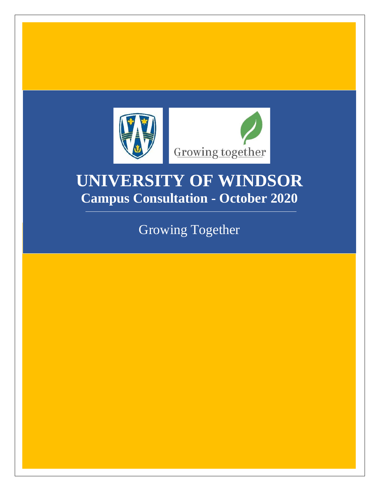

# **UNIVERSITY OF WINDSOR Campus Consultation - October 2020**

Growing Together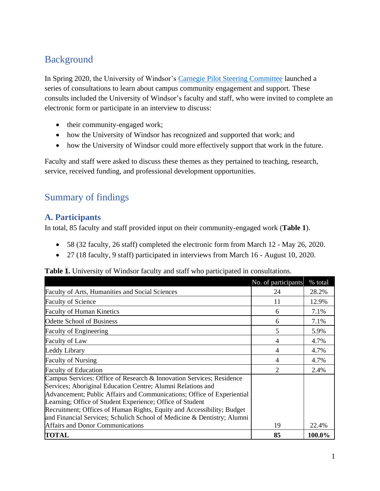# Background

In Spring 2020, the University of Windsor's [Carnegie Pilot Steering Committee](https://www.uwindsor.ca/provost/carnegie/steering-committee) launched a series of consultations to learn about campus community engagement and support. These consults included the University of Windsor's faculty and staff, who were invited to complete an electronic form or participate in an interview to discuss:

- their community-engaged work;
- how the University of Windsor has recognized and supported that work; and
- how the University of Windsor could more effectively support that work in the future.

Faculty and staff were asked to discuss these themes as they pertained to teaching, research, service, received funding, and professional development opportunities.

## Summary of findings

#### **A. Participants**

In total, 85 faculty and staff provided input on their community-engaged work (**Table 1**).

- 58 (32 faculty, 26 staff) completed the electronic form from March 12 May 26, 2020.
- 27 (18 faculty, 9 staff) participated in interviews from March 16 August 10, 2020.

**Table 1.** University of Windsor faculty and staff who participated in consultations.

|                                                                                                                                                                                                                                                                                                                                                                                                                                 | No. of participants | % total |
|---------------------------------------------------------------------------------------------------------------------------------------------------------------------------------------------------------------------------------------------------------------------------------------------------------------------------------------------------------------------------------------------------------------------------------|---------------------|---------|
| <b>Faculty of Arts, Humanities and Social Sciences</b>                                                                                                                                                                                                                                                                                                                                                                          | 24                  | 28.2%   |
| <b>Faculty of Science</b>                                                                                                                                                                                                                                                                                                                                                                                                       | 11                  | 12.9%   |
| <b>Faculty of Human Kinetics</b>                                                                                                                                                                                                                                                                                                                                                                                                | 6                   | 7.1%    |
| Odette School of Business                                                                                                                                                                                                                                                                                                                                                                                                       | 6                   | 7.1%    |
| <b>Faculty of Engineering</b>                                                                                                                                                                                                                                                                                                                                                                                                   | 5                   | 5.9%    |
| <b>Faculty of Law</b>                                                                                                                                                                                                                                                                                                                                                                                                           | 4                   | 4.7%    |
| Leddy Library                                                                                                                                                                                                                                                                                                                                                                                                                   | 4                   | 4.7%    |
| <b>Faculty of Nursing</b>                                                                                                                                                                                                                                                                                                                                                                                                       | 4                   | 4.7%    |
| <b>Faculty of Education</b>                                                                                                                                                                                                                                                                                                                                                                                                     | $\overline{c}$      | 2.4%    |
| Campus Services: Office of Research & Innovation Services; Residence<br>Services; Aboriginal Education Centre; Alumni Relations and<br>Advancement; Public Affairs and Communications; Office of Experiential<br>Learning; Office of Student Experience; Office of Student<br>Recruitment; Offices of Human Rights, Equity and Accessibility; Budget<br>and Financial Services; Schulich School of Medicine & Dentistry; Alumni |                     |         |
| <b>Affairs and Donor Communications</b>                                                                                                                                                                                                                                                                                                                                                                                         | 19                  | 22.4%   |
| <b>TOTAL</b>                                                                                                                                                                                                                                                                                                                                                                                                                    | 85                  | 100.0%  |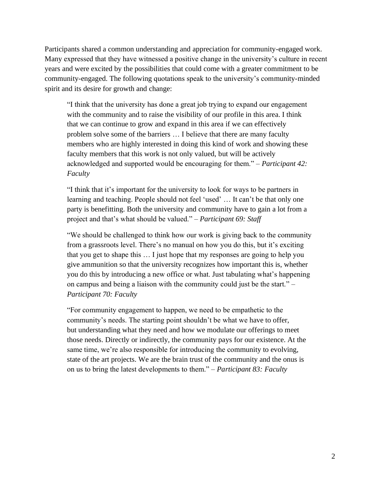Participants shared a common understanding and appreciation for community-engaged work. Many expressed that they have witnessed a positive change in the university's culture in recent years and were excited by the possibilities that could come with a greater commitment to be community-engaged. The following quotations speak to the university's community-minded spirit and its desire for growth and change:

"I think that the university has done a great job trying to expand our engagement with the community and to raise the visibility of our profile in this area. I think that we can continue to grow and expand in this area if we can effectively problem solve some of the barriers … I believe that there are many faculty members who are highly interested in doing this kind of work and showing these faculty members that this work is not only valued, but will be actively acknowledged and supported would be encouraging for them." *– Participant 42: Faculty*

"I think that it's important for the university to look for ways to be partners in learning and teaching. People should not feel 'used' … It can't be that only one party is benefitting. Both the university and community have to gain a lot from a project and that's what should be valued." *– Participant 69: Staff*

"We should be challenged to think how our work is giving back to the community from a grassroots level. There's no manual on how you do this, but it's exciting that you get to shape this … I just hope that my responses are going to help you give ammunition so that the university recognizes how important this is, whether you do this by introducing a new office or what. Just tabulating what's happening on campus and being a liaison with the community could just be the start." *– Participant 70: Faculty*

"For community engagement to happen, we need to be empathetic to the community's needs. The starting point shouldn't be what we have to offer, but understanding what they need and how we modulate our offerings to meet those needs. Directly or indirectly, the community pays for our existence. At the same time, we're also responsible for introducing the community to evolving, state of the art projects. We are the brain trust of the community and the onus is on us to bring the latest developments to them." *– Participant 83: Faculty*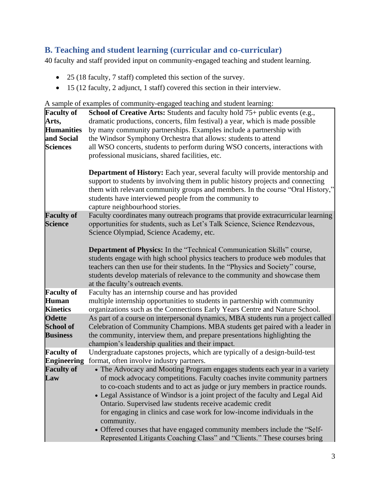## **B. Teaching and student learning (curricular and co-curricular)**

40 faculty and staff provided input on community-engaged teaching and student learning.

- 25 (18 faculty, 7 staff) completed this section of the survey.
- 15 (12 faculty, 2 adjunct, 1 staff) covered this section in their interview.

A sample of examples of community-engaged teaching and student learning:

| <b>Faculty of</b><br>Arts,<br><b>Humanities</b><br>and Social<br><b>Sciences</b> | <b>School of Creative Arts:</b> Students and faculty hold $75+$ public events (e.g.,<br>dramatic productions, concerts, film festival) a year, which is made possible<br>by many community partnerships. Examples include a partnership with<br>the Windsor Symphony Orchestra that allows: students to attend<br>all WSO concerts, students to perform during WSO concerts, interactions with<br>professional musicians, shared facilities, etc.                                                                                                                                                                                    |
|----------------------------------------------------------------------------------|--------------------------------------------------------------------------------------------------------------------------------------------------------------------------------------------------------------------------------------------------------------------------------------------------------------------------------------------------------------------------------------------------------------------------------------------------------------------------------------------------------------------------------------------------------------------------------------------------------------------------------------|
|                                                                                  | <b>Department of History:</b> Each year, several faculty will provide mentorship and<br>support to students by involving them in public history projects and connecting<br>them with relevant community groups and members. In the course "Oral History,"<br>students have interviewed people from the community to<br>capture neighbourhood stories.                                                                                                                                                                                                                                                                                |
| <b>Faculty of</b><br><b>Science</b>                                              | Faculty coordinates many outreach programs that provide extracurricular learning<br>opportunities for students, such as Let's Talk Science, Science Rendezvous,<br>Science Olympiad, Science Academy, etc.                                                                                                                                                                                                                                                                                                                                                                                                                           |
|                                                                                  | Department of Physics: In the "Technical Communication Skills" course,<br>students engage with high school physics teachers to produce web modules that<br>teachers can then use for their students. In the "Physics and Society" course,<br>students develop materials of relevance to the community and showcase them<br>at the faculty's outreach events.                                                                                                                                                                                                                                                                         |
| <b>Faculty of</b><br><b>Human</b><br><b>Kinetics</b>                             | Faculty has an internship course and has provided<br>multiple internship opportunities to students in partnership with community<br>organizations such as the Connections Early Years Centre and Nature School.                                                                                                                                                                                                                                                                                                                                                                                                                      |
| <b>Odette</b><br><b>School of</b><br><b>Business</b>                             | As part of a course on interpersonal dynamics, MBA students run a project called<br>Celebration of Community Champions. MBA students get paired with a leader in<br>the community, interview them, and prepare presentations highlighting the<br>champion's leadership qualities and their impact.                                                                                                                                                                                                                                                                                                                                   |
| <b>Faculty of</b>                                                                | Undergraduate capstones projects, which are typically of a design-build-test<br><b>Engineering</b> format, often involve industry partners.                                                                                                                                                                                                                                                                                                                                                                                                                                                                                          |
| <b>Faculty of</b><br>Law                                                         | • The Advocacy and Mooting Program engages students each year in a variety<br>of mock advocacy competitions. Faculty coaches invite community partners<br>to co-coach students and to act as judge or jury members in practice rounds.<br>• Legal Assistance of Windsor is a joint project of the faculty and Legal Aid<br>Ontario. Supervised law students receive academic credit<br>for engaging in clinics and case work for low-income individuals in the<br>community.<br>• Offered courses that have engaged community members include the "Self-<br>Represented Litigants Coaching Class" and "Clients." These courses bring |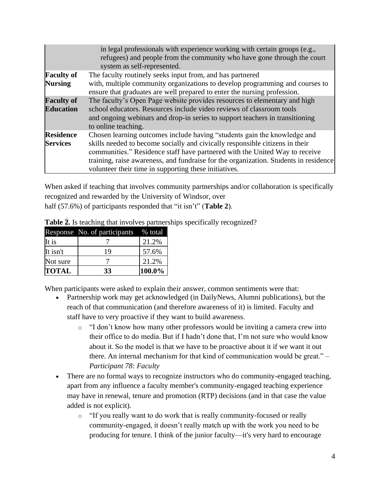|                                       | in legal professionals with experience working with certain groups (e.g.,<br>refugees) and people from the community who have gone through the court<br>system as self-represented.                                                                                                                                                                                                      |
|---------------------------------------|------------------------------------------------------------------------------------------------------------------------------------------------------------------------------------------------------------------------------------------------------------------------------------------------------------------------------------------------------------------------------------------|
| <b>Faculty of</b><br><b>Nursing</b>   | The faculty routinely seeks input from, and has partnered<br>with, multiple community organizations to develop programming and courses to<br>ensure that graduates are well prepared to enter the nursing profession.                                                                                                                                                                    |
| <b>Faculty of</b><br><b>Education</b> | The faculty's Open Page website provides resources to elementary and high<br>school educators. Resources include video reviews of classroom tools<br>and ongoing webinars and drop-in series to support teachers in transitioning<br>to online teaching.                                                                                                                                 |
| <b>Residence</b><br><b>Services</b>   | Chosen learning outcomes include having "students gain the knowledge and<br>skills needed to become socially and civically responsible citizens in their<br>communities." Residence staff have partnered with the United Way to receive<br>training, raise awareness, and fundraise for the organization. Students in residence<br>volunteer their time in supporting these initiatives. |

When asked if teaching that involves community partnerships and/or collaboration is specifically recognized and rewarded by the University of Windsor, over half (57.6%) of participants responded that "it isn't" (**Table 2**).

|              | Response No. of participants | % total |
|--------------|------------------------------|---------|
| It is        |                              | 21.2%   |
| It isn't     | 19                           | 57.6%   |
| Not sure     |                              | 21.2%   |
| <b>TOTAL</b> | 33                           | 100.0%  |

**Table 2.** Is teaching that involves partnerships specifically recognized?

When participants were asked to explain their answer, common sentiments were that:

- Partnership work may get acknowledged (in DailyNews, Alumni publications), but the reach of that communication (and therefore awareness of it) is limited. Faculty and staff have to very proactive if they want to build awareness.
	- o "I don't know how many other professors would be inviting a camera crew into their office to do media. But if I hadn't done that, I'm not sure who would know about it. So the model is that we have to be proactive about it if we want it out there. An internal mechanism for that kind of communication would be great." *– Participant 78: Faculty*
- There are no formal ways to recognize instructors who do community-engaged teaching, apart from any influence a faculty member's community-engaged teaching experience may have in renewal, tenure and promotion (RTP) decisions (and in that case the value added is not explicit).
	- o "If you really want to do work that is really community-focused or really community-engaged, it doesn't really match up with the work you need to be producing for tenure. I think of the junior faculty—it's very hard to encourage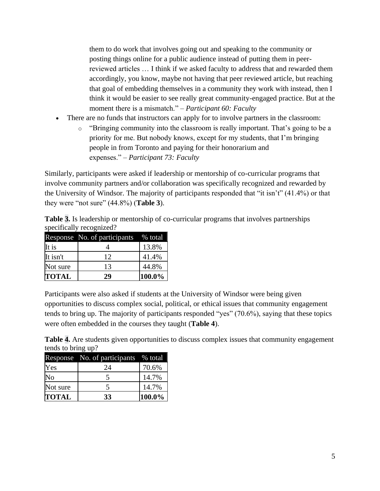them to do work that involves going out and speaking to the community or posting things online for a public audience instead of putting them in peerreviewed articles … I think if we asked faculty to address that and rewarded them accordingly, you know, maybe not having that peer reviewed article, but reaching that goal of embedding themselves in a community they work with instead, then I think it would be easier to see really great community-engaged practice. But at the moment there is a mismatch." *– Participant 60: Faculty*

- There are no funds that instructors can apply for to involve partners in the classroom:
	- o "Bringing community into the classroom is really important. That's going to be a priority for me. But nobody knows, except for my students, that I'm bringing people in from Toronto and paying for their honorarium and expenses." *– Participant 73: Faculty*

Similarly, participants were asked if leadership or mentorship of co-curricular programs that involve community partners and/or collaboration was specifically recognized and rewarded by the University of Windsor. The majority of participants responded that "it isn't" (41.4%) or that they were "not sure" (44.8%) (**Table 3**).

**Table 3.** Is leadership or mentorship of co-curricular programs that involves partnerships specifically recognized?

|              | Response No. of participants | % total |
|--------------|------------------------------|---------|
| It is        |                              | 13.8%   |
| It isn't     | 12                           | 41.4%   |
| Not sure     | 13                           | 44.8%   |
| <b>TOTAL</b> | 29                           | 100.0%  |

Participants were also asked if students at the University of Windsor were being given opportunities to discuss complex social, political, or ethical issues that community engagement tends to bring up. The majority of participants responded "yes" (70.6%), saying that these topics were often embedded in the courses they taught (**Table 4**).

**Table 4.** Are students given opportunities to discuss complex issues that community engagement tends to bring up?

|              | Response No. of participants | % total |
|--------------|------------------------------|---------|
| Yes          | 24                           | 70.6%   |
| No           |                              | 14.7%   |
| Not sure     | 5                            | 14.7%   |
| <b>TOTAL</b> | 33                           | 100.0%  |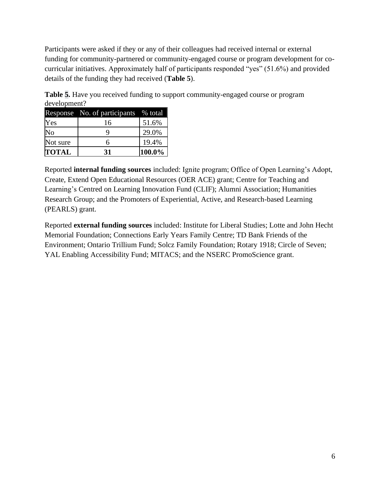Participants were asked if they or any of their colleagues had received internal or external funding for community-partnered or community-engaged course or program development for cocurricular initiatives. Approximately half of participants responded "yes" (51.6%) and provided details of the funding they had received (**Table 5**).

**Table 5.** Have you received funding to support community-engaged course or program development?

|              | Response No. of participants | % total |
|--------------|------------------------------|---------|
| Yes          | 16                           | 51.6%   |
| No           | Q                            | 29.0%   |
| Not sure     | 6                            | 19.4%   |
| <b>TOTAL</b> | 31                           | 100.0%  |

Reported **internal funding sources** included: Ignite program; Office of Open Learning's Adopt, Create, Extend Open Educational Resources (OER ACE) grant; Centre for Teaching and Learning's Centred on Learning Innovation Fund (CLIF); Alumni Association; Humanities Research Group; and the Promoters of Experiential, Active, and Research-based Learning (PEARLS) grant.

Reported **external funding sources** included: Institute for Liberal Studies; Lotte and John Hecht Memorial Foundation; Connections Early Years Family Centre; TD Bank Friends of the Environment; Ontario Trillium Fund; Solcz Family Foundation; Rotary 1918; Circle of Seven; YAL Enabling Accessibility Fund; MITACS; and the NSERC PromoScience grant.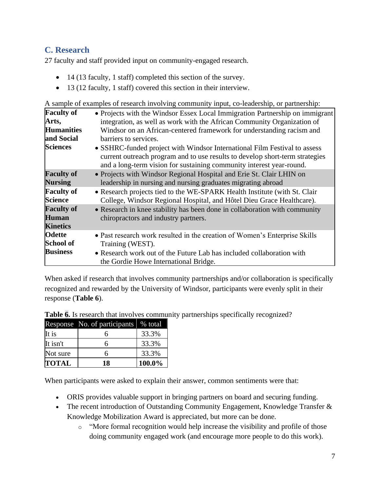### **C. Research**

27 faculty and staff provided input on community-engaged research.

- 14 (13 faculty, 1 staff) completed this section of the survey.
- 13 (12 faculty, 1 staff) covered this section in their interview.

A sample of examples of research involving community input, co-leadership, or partnership:

| <b>Faculty of</b>                                    | • Projects with the Windsor Essex Local Immigration Partnership on immigrant                                                                                                                                                      |
|------------------------------------------------------|-----------------------------------------------------------------------------------------------------------------------------------------------------------------------------------------------------------------------------------|
| Arts,                                                | integration, as well as work with the African Community Organization of                                                                                                                                                           |
| <b>Humanities</b>                                    | Windsor on an African-centered framework for understanding racism and                                                                                                                                                             |
| and Social                                           | barriers to services.                                                                                                                                                                                                             |
| <b>Sciences</b>                                      | • SSHRC-funded project with Windsor International Film Festival to assess<br>current outreach program and to use results to develop short-term strategies<br>and a long-term vision for sustaining community interest year-round. |
| <b>Faculty of</b>                                    | • Projects with Windsor Regional Hospital and Erie St. Clair LHIN on                                                                                                                                                              |
| <b>Nursing</b>                                       | leadership in nursing and nursing graduates migrating abroad                                                                                                                                                                      |
| <b>Faculty of</b>                                    | • Research projects tied to the WE-SPARK Health Institute (with St. Clair                                                                                                                                                         |
| <b>Science</b>                                       | College, Windsor Regional Hospital, and Hôtel Dieu Grace Healthcare).                                                                                                                                                             |
| <b>Faculty of</b><br><b>Human</b><br><b>Kinetics</b> | • Research in knee stability has been done in collaboration with community<br>chiropractors and industry partners.                                                                                                                |
| <b>Odette</b>                                        | • Past research work resulted in the creation of Women's Enterprise Skills                                                                                                                                                        |
| <b>School of</b>                                     | Training (WEST).                                                                                                                                                                                                                  |
| <b>Business</b>                                      | • Research work out of the Future Lab has included collaboration with<br>the Gordie Howe International Bridge.                                                                                                                    |

When asked if research that involves community partnerships and/or collaboration is specifically recognized and rewarded by the University of Windsor, participants were evenly split in their response (**Table 6**).

| Table 6. Is research that involves community partnerships specifically recognized? |  |
|------------------------------------------------------------------------------------|--|
|------------------------------------------------------------------------------------|--|

|              | Response No. of participants | % total |
|--------------|------------------------------|---------|
| It is        |                              | 33.3%   |
| It isn't     |                              | 33.3%   |
| Not sure     |                              | 33.3%   |
| <b>TOTAL</b> | 18                           | 100.0%  |

When participants were asked to explain their answer, common sentiments were that:

- ORIS provides valuable support in bringing partners on board and securing funding.
- The recent introduction of Outstanding Community Engagement, Knowledge Transfer & Knowledge Mobilization Award is appreciated, but more can be done.
	- o "More formal recognition would help increase the visibility and profile of those doing community engaged work (and encourage more people to do this work).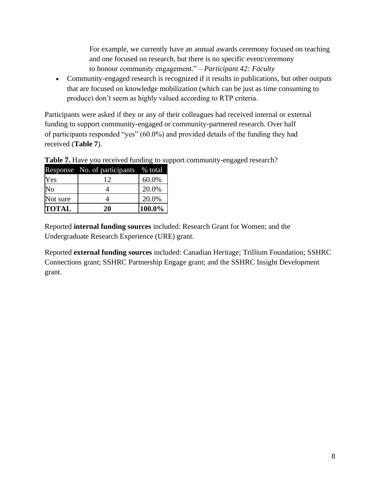For example, we currently have an annual awards ceremony focused on teaching and one focused on research, but there is no specific event/ceremony to honour community engagement." *– Participant 42: Faculty*

• Community-engaged research is recognized if it results in publications, but other outputs that are focused on knowledge mobilization (which can be just as time consuming to produce) don't seem as highly valued according to RTP criteria.

Participants were asked if they or any of their colleagues had received internal or external funding to support community-engaged or community-partnered research. Over half of participants responded "yes" (60.0%) and provided details of the funding they had received (**Table 7**).

|              | Response No. of participants % total |        |
|--------------|--------------------------------------|--------|
| Yes          | 12                                   | 60.0%  |
| No           |                                      | 20.0%  |
| Not sure     |                                      | 20.0%  |
| <b>TOTAL</b> | 20                                   | 100.0% |

**Table 7.** Have you received funding to support community-engaged research?

Reported **internal funding sources** included: Research Grant for Women; and the Undergraduate Research Experience (URE) grant.

Reported **external funding sources** included: Canadian Heritage; Trillium Foundation; SSHRC Connections grant; SSHRC Partnership Engage grant; and the SSHRC Insight Development grant.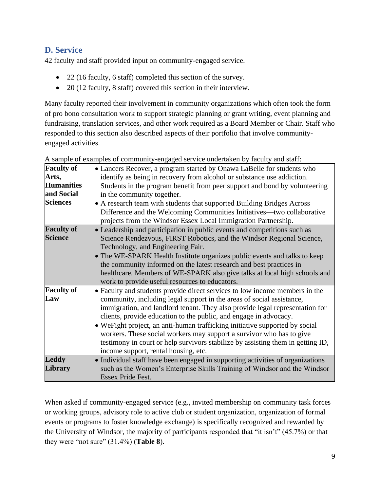## **D. Service**

42 faculty and staff provided input on community-engaged service.

- 22 (16 faculty, 6 staff) completed this section of the survey.
- 20 (12 faculty, 8 staff) covered this section in their interview.

Many faculty reported their involvement in community organizations which often took the form of pro bono consultation work to support strategic planning or grant writing, event planning and fundraising, translation services, and other work required as a Board Member or Chair. Staff who responded to this section also described aspects of their portfolio that involve communityengaged activities.

| <b>Faculty of</b>                   | • Lancers Recover, a program started by Onawa LaBelle for students who                                                                                                                                                                                                                                                                                                                                                                                                                                                                                                                       |
|-------------------------------------|----------------------------------------------------------------------------------------------------------------------------------------------------------------------------------------------------------------------------------------------------------------------------------------------------------------------------------------------------------------------------------------------------------------------------------------------------------------------------------------------------------------------------------------------------------------------------------------------|
| Arts,                               | identify as being in recovery from alcohol or substance use addiction.                                                                                                                                                                                                                                                                                                                                                                                                                                                                                                                       |
| <b>Humanities</b>                   | Students in the program benefit from peer support and bond by volunteering                                                                                                                                                                                                                                                                                                                                                                                                                                                                                                                   |
| and Social                          | in the community together.                                                                                                                                                                                                                                                                                                                                                                                                                                                                                                                                                                   |
| <b>Sciences</b>                     | • A research team with students that supported Building Bridges Across<br>Difference and the Welcoming Communities Initiatives—two collaborative<br>projects from the Windsor Essex Local Immigration Partnership.                                                                                                                                                                                                                                                                                                                                                                           |
| <b>Faculty of</b><br><b>Science</b> | • Leadership and participation in public events and competitions such as<br>Science Rendezvous, FIRST Robotics, and the Windsor Regional Science,<br>Technology, and Engineering Fair.<br>• The WE-SPARK Health Institute organizes public events and talks to keep<br>the community informed on the latest research and best practices in<br>healthcare. Members of WE-SPARK also give talks at local high schools and<br>work to provide useful resources to educators.                                                                                                                    |
| <b>Faculty of</b><br>Law            | • Faculty and students provide direct services to low income members in the<br>community, including legal support in the areas of social assistance,<br>immigration, and landlord tenant. They also provide legal representation for<br>clients, provide education to the public, and engage in advocacy.<br>• We Fight project, an anti-human trafficking initiative supported by social<br>workers. These social workers may support a survivor who has to give<br>testimony in court or help survivors stabilize by assisting them in getting ID,<br>income support, rental housing, etc. |
| <b>Leddy</b><br><b>Library</b>      | • Individual staff have been engaged in supporting activities of organizations<br>such as the Women's Enterprise Skills Training of Windsor and the Windsor<br>Essex Pride Fest.                                                                                                                                                                                                                                                                                                                                                                                                             |

A sample of examples of community-engaged service undertaken by faculty and staff:

When asked if community-engaged service (e.g., invited membership on community task forces or working groups, advisory role to active club or student organization, organization of formal events or programs to foster knowledge exchange) is specifically recognized and rewarded by the University of Windsor, the majority of participants responded that "it isn't" (45.7%) or that they were "not sure" (31.4%) (**Table 8**).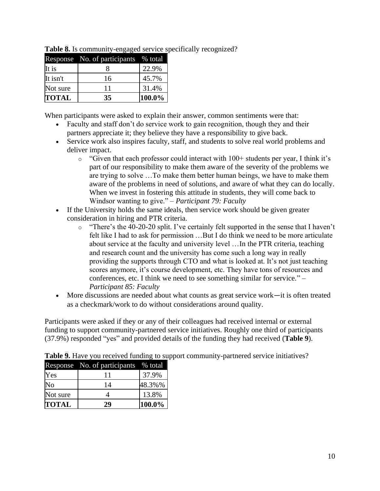| <b>TOTAL</b> | 35                           | 100.0%  |
|--------------|------------------------------|---------|
| Not sure     | 11                           | 31.4%   |
| It isn't     | 16                           | 45.7%   |
| It is        |                              | 22.9%   |
|              | Response No. of participants | % total |

**Table 8.** Is community-engaged service specifically recognized?

When participants were asked to explain their answer, common sentiments were that:

- Faculty and staff don't do service work to gain recognition, though they and their partners appreciate it; they believe they have a responsibility to give back.
- Service work also inspires faculty, staff, and students to solve real world problems and deliver impact.
	- $\circ$  "Given that each professor could interact with 100+ students per year, I think it's part of our responsibility to make them aware of the severity of the problems we are trying to solve …To make them better human beings, we have to make them aware of the problems in need of solutions, and aware of what they can do locally. When we invest in fostering this attitude in students, they will come back to Windsor wanting to give." *– Participant 79: Faculty*
- If the University holds the same ideals, then service work should be given greater consideration in hiring and PTR criteria.
	- o "There's the 40-20-20 split. I've certainly felt supported in the sense that I haven't felt like I had to ask for permission …But I do think we need to be more articulate about service at the faculty and university level …In the PTR criteria, teaching and research count and the university has come such a long way in really providing the supports through CTO and what is looked at. It's not just teaching scores anymore, it's course development, etc. They have tons of resources and conferences, etc. I think we need to see something similar for service." *– Participant 85: Faculty*
- More discussions are needed about what counts as great service work—it is often treated as a checkmark/work to do without considerations around quality.

Participants were asked if they or any of their colleagues had received internal or external funding to support community-partnered service initiatives. Roughly one third of participants (37.9%) responded "yes" and provided details of the funding they had received (**Table 9**).

|              | Response No. of participants | % total |
|--------------|------------------------------|---------|
| Yes          | 11                           | 37.9%   |
| No           | 14                           | 48.3%%  |
| Not sure     |                              | 13.8%   |
| <b>TOTAL</b> | 29                           | 100.0%  |

**Table 9.** Have you received funding to support community-partnered service initiatives?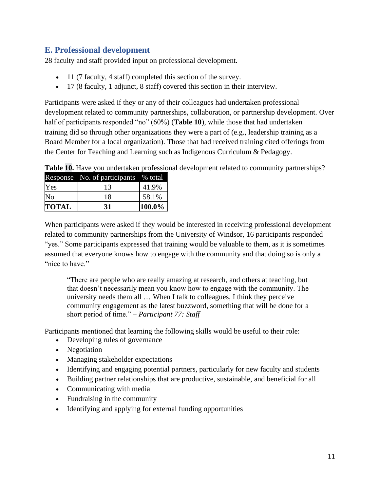#### **E. Professional development**

28 faculty and staff provided input on professional development.

- 11 (7 faculty, 4 staff) completed this section of the survey.
- 17 (8 faculty, 1 adjunct, 8 staff) covered this section in their interview.

Participants were asked if they or any of their colleagues had undertaken professional development related to community partnerships, collaboration, or partnership development. Over half of participants responded "no" (60%) (**Table 10**), while those that had undertaken training did so through other organizations they were a part of (e.g., leadership training as a Board Member for a local organization). Those that had received training cited offerings from the Center for Teaching and Learning such as Indigenous Curriculum & Pedagogy.

|                | Response No. of participants | $\frac{1}{6}$ total |
|----------------|------------------------------|---------------------|
| Yes            | 13                           | 41.9%               |
| N <sub>o</sub> | 18                           | 58.1%               |
| <b>TOTAL</b>   | 31                           | 100.0%              |

**Table 10.** Have you undertaken professional development related to community partnerships?

When participants were asked if they would be interested in receiving professional development related to community partnerships from the University of Windsor, 16 participants responded "yes." Some participants expressed that training would be valuable to them, as it is sometimes assumed that everyone knows how to engage with the community and that doing so is only a "nice to have."

"There are people who are really amazing at research, and others at teaching, but that doesn't necessarily mean you know how to engage with the community. The university needs them all … When I talk to colleagues, I think they perceive community engagement as the latest buzzword, something that will be done for a short period of time." *– Participant 77: Staff*

Participants mentioned that learning the following skills would be useful to their role:

- Developing rules of governance
- Negotiation
- Managing stakeholder expectations
- Identifying and engaging potential partners, particularly for new faculty and students
- Building partner relationships that are productive, sustainable, and beneficial for all
- Communicating with media
- Fundraising in the community
- Identifying and applying for external funding opportunities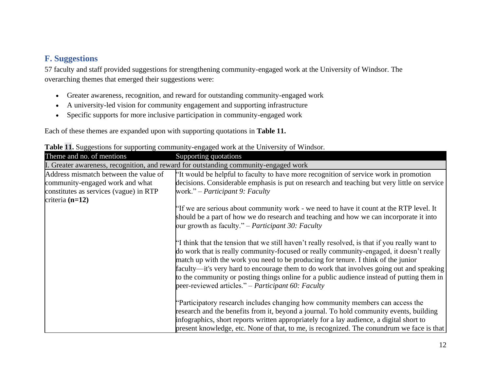#### **F. Suggestions**

57 faculty and staff provided suggestions for strengthening community-engaged work at the University of Windsor. The overarching themes that emerged their suggestions were:

- Greater awareness, recognition, and reward for outstanding community-engaged work
- A university-led vision for community engagement and supporting infrastructure
- Specific supports for more inclusive participation in community-engaged work

Each of these themes are expanded upon with supporting quotations in **Table 11.**

| were an ouggestions for supporting community engaged work at the employing<br>Theme and no. of mentions | Supporting quotations                                                                                                                                                                                                                                                                                                                                                                                                                                                                                                          |
|---------------------------------------------------------------------------------------------------------|--------------------------------------------------------------------------------------------------------------------------------------------------------------------------------------------------------------------------------------------------------------------------------------------------------------------------------------------------------------------------------------------------------------------------------------------------------------------------------------------------------------------------------|
|                                                                                                         | I. Greater awareness, recognition, and reward for outstanding community-engaged work                                                                                                                                                                                                                                                                                                                                                                                                                                           |
| Address mismatch between the value of                                                                   | "It would be helpful to faculty to have more recognition of service work in promotion                                                                                                                                                                                                                                                                                                                                                                                                                                          |
| community-engaged work and what                                                                         | decisions. Considerable emphasis is put on research and teaching but very little on service                                                                                                                                                                                                                                                                                                                                                                                                                                    |
| constitutes as services (vague) in RTP                                                                  | work." – Participant 9: Faculty                                                                                                                                                                                                                                                                                                                                                                                                                                                                                                |
| criteria $(n=12)$                                                                                       |                                                                                                                                                                                                                                                                                                                                                                                                                                                                                                                                |
|                                                                                                         | "If we are serious about community work - we need to have it count at the RTP level. It                                                                                                                                                                                                                                                                                                                                                                                                                                        |
|                                                                                                         | should be a part of how we do research and teaching and how we can incorporate it into                                                                                                                                                                                                                                                                                                                                                                                                                                         |
|                                                                                                         | our growth as faculty." – <i>Participant 30: Faculty</i>                                                                                                                                                                                                                                                                                                                                                                                                                                                                       |
|                                                                                                         | If think that the tension that we still haven't really resolved, is that if you really want to<br>do work that is really community-focused or really community-engaged, it doesn't really<br>match up with the work you need to be producing for tenure. I think of the junior<br>faculty—it's very hard to encourage them to do work that involves going out and speaking<br>to the community or posting things online for a public audience instead of putting them in<br>peer-reviewed articles." – Participant 60: Faculty |
|                                                                                                         | "Participatory research includes changing how community members can access the                                                                                                                                                                                                                                                                                                                                                                                                                                                 |
|                                                                                                         | research and the benefits from it, beyond a journal. To hold community events, building                                                                                                                                                                                                                                                                                                                                                                                                                                        |
|                                                                                                         | infographics, short reports written appropriately for a lay audience, a digital short to                                                                                                                                                                                                                                                                                                                                                                                                                                       |
|                                                                                                         | present knowledge, etc. None of that, to me, is recognized. The conundrum we face is that                                                                                                                                                                                                                                                                                                                                                                                                                                      |

**Table 11.** Suggestions for supporting community-engaged work at the University of Windsor.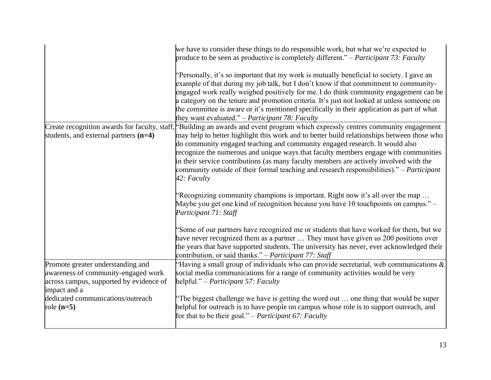|                                                                                                                                     | we have to consider these things to do responsible work, but what we're expected to<br>produce to be seen as productive is completely different." – Participant 73: Faculty<br>"Personally, it's so important that my work is mutually beneficial to society. I gave an<br>example of that during my job talk, but I don't know if that commitment to community-<br>engaged work really weighed positively for me. I do think community engagement can be<br>a category on the tenure and promotion criteria. It's just not looked at unless someone on<br>the committee is aware or it's mentioned specifically in their application as part of what<br>they want evaluated." – Participant 78: Faculty |
|-------------------------------------------------------------------------------------------------------------------------------------|----------------------------------------------------------------------------------------------------------------------------------------------------------------------------------------------------------------------------------------------------------------------------------------------------------------------------------------------------------------------------------------------------------------------------------------------------------------------------------------------------------------------------------------------------------------------------------------------------------------------------------------------------------------------------------------------------------|
| students, and external partners (n=4)                                                                                               | Create recognition awards for faculty, staff, Building an awards and event program which expressly centres community engagement<br>may help to better highlight this work and to better build relationships between those who<br>do community engaged teaching and community engaged research. It would also<br>recognize the numerous and unique ways that faculty members engage with communities<br>in their service contributions (as many faculty members are actively involved with the<br>community outside of their formal teaching and research responsibilities)." – Participant<br>42: Faculty                                                                                                |
|                                                                                                                                     | 'Recognizing community champions is important. Right now it's all over the map<br>Maybe you get one kind of recognition because you have 10 touch points on campus." –<br>Participant 71: Staff                                                                                                                                                                                                                                                                                                                                                                                                                                                                                                          |
|                                                                                                                                     | 'Some of our partners have recognized me or students that have worked for them, but we<br>have never recognized them as a partner  They must have given us 200 positions over<br>the years that have supported students. The university has never, ever acknowledged their<br>contribution, or said thanks." – Participant 77: Staff                                                                                                                                                                                                                                                                                                                                                                     |
| Promote greater understanding and<br>awareness of community-engaged work<br>across campus, supported by evidence of<br>impact and a | 'Having a small group of individuals who can provide secretarial, web communications $\&$<br>social media communications for a range of community activities would be very<br>helpful." – Participant 57: Faculty                                                                                                                                                                                                                                                                                                                                                                                                                                                                                        |
| dedicated communications/outreach<br>role $(n=5)$                                                                                   | The biggest challenge we have is getting the word out  one thing that would be super<br>helpful for outreach is to have people on campus whose role is to support outreach, and<br>for that to be their goal." – <i>Participant</i> 67: <i>Faculty</i>                                                                                                                                                                                                                                                                                                                                                                                                                                                   |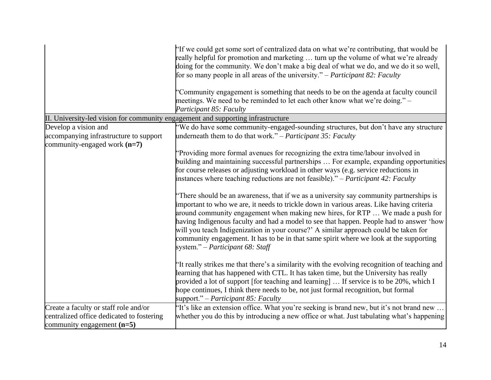|                                                                                  | $^{\ast}$ If we could get some sort of centralized data on what we're contributing, that would be<br>really helpful for promotion and marketing  turn up the volume of what we're already<br>doing for the community. We don't make a big deal of what we do, and we do it so well,<br>for so many people in all areas of the university." – Participant 82: Faculty<br>"Community engagement is something that needs to be on the agenda at faculty council<br>meetings. We need to be reminded to let each other know what we're doing." –<br>Participant 85: Faculty                |
|----------------------------------------------------------------------------------|----------------------------------------------------------------------------------------------------------------------------------------------------------------------------------------------------------------------------------------------------------------------------------------------------------------------------------------------------------------------------------------------------------------------------------------------------------------------------------------------------------------------------------------------------------------------------------------|
| II. University-led vision for community engagement and supporting infrastructure |                                                                                                                                                                                                                                                                                                                                                                                                                                                                                                                                                                                        |
| Develop a vision and                                                             | "We do have some community-engaged-sounding structures, but don't have any structure                                                                                                                                                                                                                                                                                                                                                                                                                                                                                                   |
| accompanying infrastructure to support                                           | underneath them to do that work." – Participant 35: Faculty                                                                                                                                                                                                                                                                                                                                                                                                                                                                                                                            |
| community-engaged work $(n=7)$                                                   |                                                                                                                                                                                                                                                                                                                                                                                                                                                                                                                                                                                        |
|                                                                                  | "Providing more formal avenues for recognizing the extra time/labour involved in                                                                                                                                                                                                                                                                                                                                                                                                                                                                                                       |
|                                                                                  | building and maintaining successful partnerships  For example, expanding opportunities                                                                                                                                                                                                                                                                                                                                                                                                                                                                                                 |
|                                                                                  | for course releases or adjusting workload in other ways (e.g. service reductions in                                                                                                                                                                                                                                                                                                                                                                                                                                                                                                    |
|                                                                                  | instances where teaching reductions are not feasible)." – Participant 42: Faculty                                                                                                                                                                                                                                                                                                                                                                                                                                                                                                      |
|                                                                                  | "There should be an awareness, that if we as a university say community partnerships is<br>important to who we are, it needs to trickle down in various areas. Like having criteria<br>around community engagement when making new hires, for RTP  We made a push for<br>having Indigenous faculty and had a model to see that happen. People had to answer 'how<br>will you teach Indigenization in your course?' A similar approach could be taken for<br>community engagement. It has to be in that same spirit where we look at the supporting<br>system." – Participant 68: Staff |
|                                                                                  | "It really strikes me that there's a similarity with the evolving recognition of teaching and<br>learning that has happened with CTL. It has taken time, but the University has really<br>provided a lot of support [for teaching and learning]  If service is to be 20%, which I<br>hope continues, I think there needs to be, not just formal recognition, but formal<br>support." – Participant 85: Faculty                                                                                                                                                                         |
| Create a faculty or staff role and/or                                            | 'It's like an extension office. What you're seeking is brand new, but it's not brand new                                                                                                                                                                                                                                                                                                                                                                                                                                                                                               |
| centralized office dedicated to fostering                                        | whether you do this by introducing a new office or what. Just tabulating what's happening                                                                                                                                                                                                                                                                                                                                                                                                                                                                                              |
| community engagement $(n=5)$                                                     |                                                                                                                                                                                                                                                                                                                                                                                                                                                                                                                                                                                        |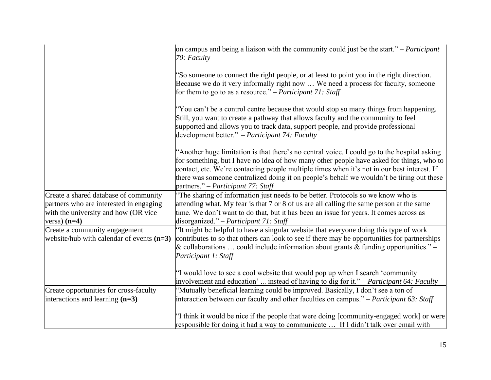|                                                                                                                                            | on campus and being a liaison with the community could just be the start." – <i>Participant</i><br>70: Faculty                                                                                                                                                                                                                                                                                                             |
|--------------------------------------------------------------------------------------------------------------------------------------------|----------------------------------------------------------------------------------------------------------------------------------------------------------------------------------------------------------------------------------------------------------------------------------------------------------------------------------------------------------------------------------------------------------------------------|
|                                                                                                                                            | "So someone to connect the right people, or at least to point you in the right direction.<br>Because we do it very informally right now  We need a process for faculty, someone<br>for them to go to as a resource." – <i>Participant 71:</i> Staff                                                                                                                                                                        |
|                                                                                                                                            | "You can't be a control centre because that would stop so many things from happening.<br>Still, you want to create a pathway that allows faculty and the community to feel<br>supported and allows you to track data, support people, and provide professional<br>development better." $-$ <i>Participant 74: Faculty</i>                                                                                                  |
|                                                                                                                                            | "Another huge limitation is that there's no central voice. I could go to the hospital asking<br>for something, but I have no idea of how many other people have asked for things, who to<br>contact, etc. We're contacting people multiple times when it's not in our best interest. If<br>there was someone centralized doing it on people's behalf we wouldn't be tiring out these<br>partners." – Participant 77: Staff |
| Create a shared database of community<br>partners who are interested in engaging<br>with the university and how (OR vice<br>versa) $(n=4)$ | The sharing of information just needs to be better. Protocols so we know who is<br>attending what. My fear is that 7 or 8 of us are all calling the same person at the same<br>time. We don't want to do that, but it has been an issue for years. It comes across as<br>disorganized." – Participant 71: Staff                                                                                                            |
| Create a community engagement<br>website/hub with calendar of events $(n=3)$                                                               | If the might be helpful to have a singular website that everyone doing this type of work<br>contributes to so that others can look to see if there may be opportunities for partnerships<br>& collaborations  could include information about grants & funding opportunities." $-$<br>Participant 1: Staff                                                                                                                 |
|                                                                                                                                            | "I would love to see a cool website that would pop up when I search 'community'<br>involvement and education'  instead of having to dig for it." – Participant 64: Faculty                                                                                                                                                                                                                                                 |
| Create opportunities for cross-faculty                                                                                                     | "Mutually beneficial learning could be improved. Basically, I don't see a ton of                                                                                                                                                                                                                                                                                                                                           |
| interactions and learning $(n=3)$                                                                                                          | interaction between our faculty and other faculties on campus." - Participant 63: Staff                                                                                                                                                                                                                                                                                                                                    |
|                                                                                                                                            | <sup>*</sup> I think it would be nice if the people that were doing [community-engaged work] or were                                                                                                                                                                                                                                                                                                                       |
|                                                                                                                                            | responsible for doing it had a way to communicate  If I didn't talk over email with                                                                                                                                                                                                                                                                                                                                        |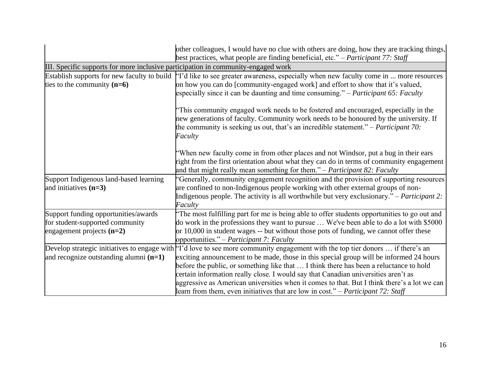|                                                                                                        | other colleagues, I would have no clue with others are doing, how they are tracking things,<br>best practices, what people are finding beneficial, etc." – Participant 77: Staff                                                                                                                                                                                                                                                                                                                                                                                                                         |  |
|--------------------------------------------------------------------------------------------------------|----------------------------------------------------------------------------------------------------------------------------------------------------------------------------------------------------------------------------------------------------------------------------------------------------------------------------------------------------------------------------------------------------------------------------------------------------------------------------------------------------------------------------------------------------------------------------------------------------------|--|
| III. Specific supports for more inclusive participation in community-engaged work                      |                                                                                                                                                                                                                                                                                                                                                                                                                                                                                                                                                                                                          |  |
| ties to the community $(n=6)$                                                                          | Establish supports for new faculty to build $\vert$ <sup>1</sup> d like to see greater awareness, especially when new faculty come in  more resources<br>on how you can do [community-engaged work] and effort to show that it's valued,<br>especially since it can be daunting and time consuming." – Participant 65: Faculty                                                                                                                                                                                                                                                                           |  |
|                                                                                                        | This community engaged work needs to be fostered and encouraged, especially in the<br>new generations of faculty. Community work needs to be honoured by the university. If<br>the community is seeking us out, that's an incredible statement." – <i>Participant 70</i> :<br>Faculty                                                                                                                                                                                                                                                                                                                    |  |
|                                                                                                        | "When new faculty come in from other places and not Windsor, put a bug in their ears<br>right from the first orientation about what they can do in terms of community engagement<br>and that might really mean something for them." $-$ <i>Participant 82: Faculty</i>                                                                                                                                                                                                                                                                                                                                   |  |
| Support Indigenous land-based learning<br>and initiatives $(n=3)$                                      | "Generally, community engagement recognition and the provision of supporting resources<br>are confined to non-Indigenous people working with other external groups of non-<br>Indigenous people. The activity is all worthwhile but very exclusionary." – Participant 2:<br>Faculty                                                                                                                                                                                                                                                                                                                      |  |
| Support funding opportunities/awards<br>for student-supported community<br>engagement projects $(n=2)$ | The most fulfilling part for me is being able to offer students opportunities to go out and<br>do work in the professions they want to pursue  We've been able to do a lot with \$5000<br>or 10,000 in student wages -- but without those pots of funding, we cannot offer these<br>opportunities." – Participant 7: Faculty                                                                                                                                                                                                                                                                             |  |
| and recognize outstanding alumni $(n=1)$                                                               | Develop strategic initiatives to engage with $^{\prime}$ T'd love to see more community engagement with the top tier donors  if there's an<br>exciting announcement to be made, those in this special group will be informed 24 hours<br>before the public, or something like that  I think there has been a reluctance to hold<br>certain information really close. I would say that Canadian universities aren't as<br>aggressive as American universities when it comes to that. But I think there's a lot we can<br>learn from them, even initiatives that are low in cost." – Participant 72: Staff |  |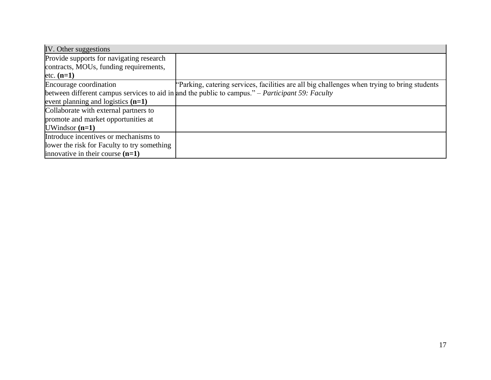| IV. Other suggestions                       |                                                                                                  |
|---------------------------------------------|--------------------------------------------------------------------------------------------------|
| Provide supports for navigating research    |                                                                                                  |
| contracts, MOUs, funding requirements,      |                                                                                                  |
| etc. $(n=1)$                                |                                                                                                  |
| Encourage coordination                      | Parking, catering services, facilities are all big challenges when trying to bring students      |
|                                             | between different campus services to aid in and the public to campus." – Participant 59: Faculty |
| event planning and logistics $(n=1)$        |                                                                                                  |
| Collaborate with external partners to       |                                                                                                  |
| promote and market opportunities at         |                                                                                                  |
| $UWindsor (n=1)$                            |                                                                                                  |
| Introduce incentives or mechanisms to       |                                                                                                  |
| lower the risk for Faculty to try something |                                                                                                  |
| innovative in their course $(n=1)$          |                                                                                                  |